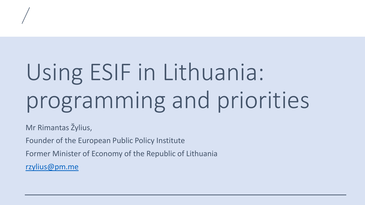## Using ESIF in Lithuania: programming and priorities

Mr Rimantas Žylius,

Founder of the European Public Policy Institute

Former Minister of Economy of the Republic of Lithuania

[rzylius@pm.me](mailto:rzylius@pm.me)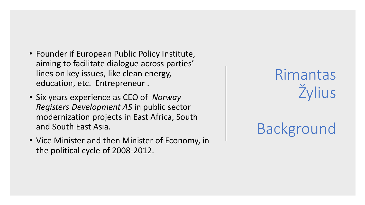- Founder if European Public Policy Institute, aiming to facilitate dialogue across parties' lines on key issues, like clean energy, education, etc. Entrepreneur .
- Six years experience as CEO of *Norway Registers Development AS* in public sector modernization projects in East Africa, South and South East Asia.
- Vice Minister and then Minister of Economy, in the political cycle of 2008-2012.

Rimantas Žylius

## Background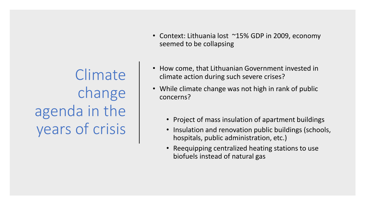Climate change agenda in the years of crisis

- Context: Lithuania lost ~15% GDP in 2009, economy seemed to be collapsing
- How come, that Lithuanian Government invested in climate action during such severe crises?
- While climate change was not high in rank of public concerns?
	- Project of mass insulation of apartment buildings
	- Insulation and renovation public buildings (schools, hospitals, public administration, etc.)
	- Reequipping centralized heating stations to use biofuels instead of natural gas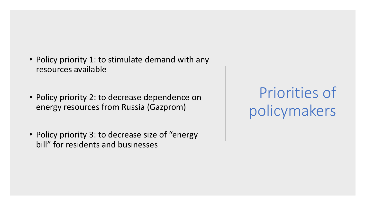- Policy priority 1: to stimulate demand with any resources available
- Policy priority 2: to decrease dependence on energy resources from Russia (Gazprom)
- Policy priority 3: to decrease size of "energy bill" for residents and businesses

Priorities of policymakers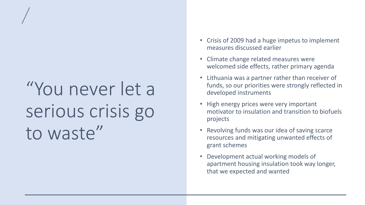## "You never let a serious crisis go to waste"

- Crisis of 2009 had a huge impetus to implement measures discussed earlier
- Climate change related measures were welcomed side effects, rather primary agenda
- Lithuania was a partner rather than receiver of funds, so our priorities were strongly reflected in developed instruments
- High energy prices were very important motivator to insulation and transition to biofuels projects
- Revolving funds was our idea of saving scarce resources and mitigating unwanted effects of grant schemes
- Development actual working models of apartment housing insulation took way longer, that we expected and wanted